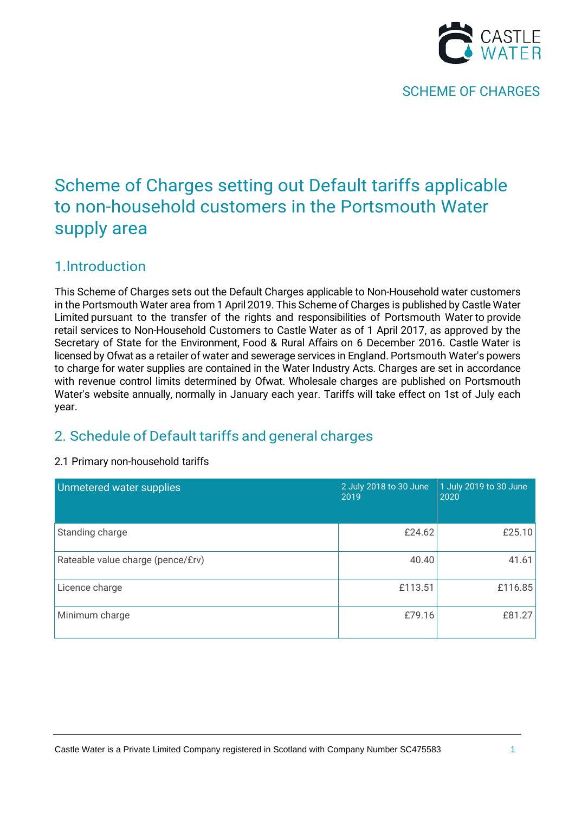

# Scheme of Charges setting out Default tariffs applicable to non-household customers in the Portsmouth Water supply area

## 1.lntroduction

This Scheme of Charges sets out the Default Charges applicable to Non-Household water customers in the Portsmouth Water area from 1 April 2019. This Scheme of Charges is published by Castle Water Limited pursuant to the transfer of the rights and responsibilities of Portsmouth Water to provide retail services to Non-Household Customers to Castle Water as of 1 April 2017, as approved by the Secretary of State for the Environment, Food & Rural Affairs on 6 December 2016. Castle Water is licensed by Ofwat as a retailer of water and sewerage services in England. Portsmouth Water's powers to charge for water supplies are contained in the Water Industry Acts. Charges are set in accordance with revenue control limits determined by Ofwat. Wholesale charges are published on Portsmouth Water's website annually, normally in January each year. Tariffs will take effect on 1st of July each year.

## 2. Schedule of Default tariffs and general charges

### 2.1 Primary non-household tariffs

| Unmetered water supplies          | 2 July 2018 to 30 June<br>2019 | 1 July 2019 to 30 June<br>2020 |
|-----------------------------------|--------------------------------|--------------------------------|
| Standing charge                   | £24.62                         | £25.10                         |
| Rateable value charge (pence/£rv) | 40.40                          | 41.61                          |
| Licence charge                    | £113.51                        | £116.85                        |
| Minimum charge                    | £79.16                         | £81.27                         |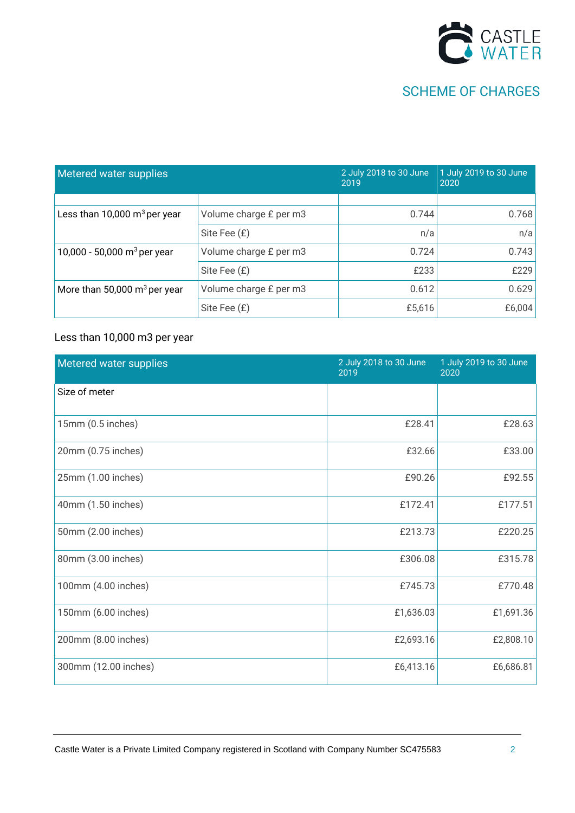

| Metered water supplies                   |                        | 2 July 2018 to 30 June<br>2019 | 1 July 2019 to 30 June<br>2020 |
|------------------------------------------|------------------------|--------------------------------|--------------------------------|
|                                          |                        |                                |                                |
| Less than 10,000 $\mathrm{m}^3$ per year | Volume charge £ per m3 | 0.744                          | 0.768                          |
|                                          | Site Fee (£)           | n/a                            | n/a                            |
| 10,000 - 50,000 m <sup>3</sup> per year  | Volume charge £ per m3 | 0.724                          | 0.743                          |
|                                          | Site Fee (£)           | £233                           | £229                           |
| More than 50,000 $m^3$ per year          | Volume charge £ per m3 | 0.612                          | 0.629                          |
|                                          | Site Fee (£)           | £5,616                         | £6,004                         |

### Less than 10,000 m3 per year

| Metered water supplies | 2 July 2018 to 30 June<br>2019 | 1 July 2019 to 30 June<br>2020 |
|------------------------|--------------------------------|--------------------------------|
| Size of meter          |                                |                                |
| 15mm (0.5 inches)      | £28.41                         | £28.63                         |
| 20mm (0.75 inches)     | £32.66                         | £33.00                         |
| 25mm (1.00 inches)     | £90.26                         | £92.55                         |
| 40mm (1.50 inches)     | £172.41                        | £177.51                        |
| 50mm (2.00 inches)     | £213.73                        | £220.25                        |
| 80mm (3.00 inches)     | £306.08                        | £315.78                        |
| 100mm (4.00 inches)    | £745.73                        | £770.48                        |
| 150mm (6.00 inches)    | £1,636.03                      | £1,691.36                      |
| 200mm (8.00 inches)    | £2,693.16                      | £2,808.10                      |
| 300mm (12.00 inches)   | £6,413.16                      | £6,686.81                      |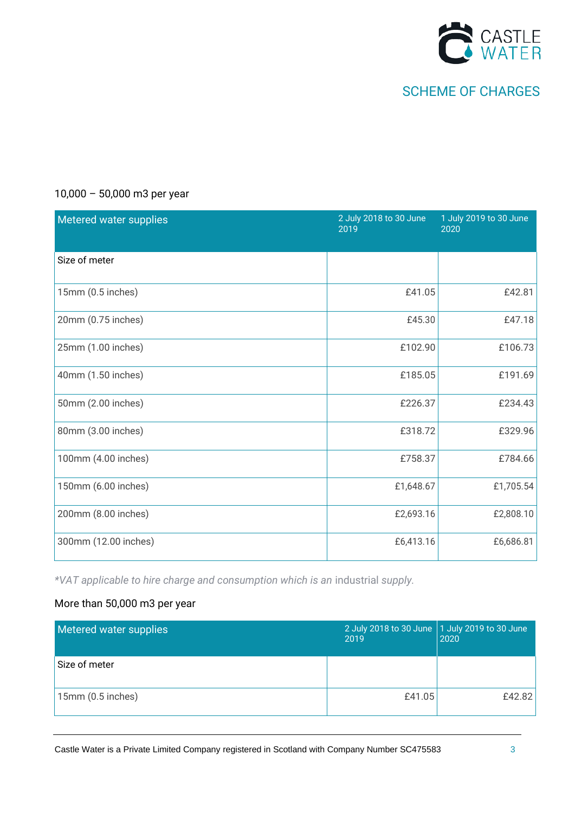

| Metered water supplies | 2 July 2018 to 30 June<br>2019 | 1 July 2019 to 30 June<br>2020 |
|------------------------|--------------------------------|--------------------------------|
| Size of meter          |                                |                                |
| 15mm (0.5 inches)      | £41.05                         | £42.81                         |
| 20mm (0.75 inches)     | £45.30                         | £47.18                         |
| 25mm (1.00 inches)     | £102.90                        | £106.73                        |
| 40mm (1.50 inches)     | £185.05                        | £191.69                        |
| 50mm (2.00 inches)     | £226.37                        | £234.43                        |
| 80mm (3.00 inches)     | £318.72                        | £329.96                        |
| 100mm (4.00 inches)    | £758.37                        | £784.66                        |
| 150mm (6.00 inches)    | £1,648.67                      | £1,705.54                      |
| 200mm (8.00 inches)    | £2,693.16                      | £2,808.10                      |
| 300mm (12.00 inches)   | £6,413.16                      | £6,686.81                      |

### 10,000 – 50,000 m3 per year

*\*VAT applicable to hire charge and consumption which is an* industrial *supply.*

### More than 50,000 m3 per year

| Metered water supplies | 2 July 2018 to 30 June 1 July 2019 to 30 June<br>2019 | 2020   |
|------------------------|-------------------------------------------------------|--------|
| Size of meter          |                                                       |        |
| 15mm(0.5 inches)       | £41.05                                                | £42.82 |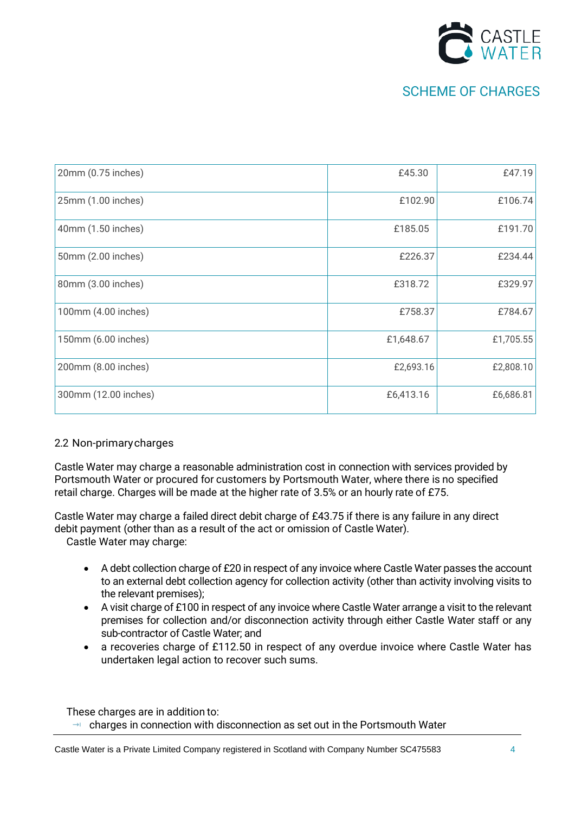

| 20mm (0.75 inches)   | £45.30    | £47.19    |
|----------------------|-----------|-----------|
| 25mm (1.00 inches)   | £102.90   | £106.74   |
| 40mm (1.50 inches)   | £185.05   | £191.70   |
| 50mm (2.00 inches)   | £226.37   | £234.44   |
| 80mm (3.00 inches)   | £318.72   | £329.97   |
| 100mm (4.00 inches)  | £758.37   | £784.67   |
| 150mm (6.00 inches)  | £1,648.67 | £1,705.55 |
| 200mm (8.00 inches)  | £2,693.16 | £2,808.10 |
| 300mm (12.00 inches) | £6,413.16 | £6,686.81 |

### 2.2 Non-primarycharges

Castle Water may charge a reasonable administration cost in connection with services provided by Portsmouth Water or procured for customers by Portsmouth Water, where there is no specified retail charge. Charges will be made at the higher rate of 3.5% or an hourly rate of £75.

Castle Water may charge a failed direct debit charge of £43.75 if there is any failure in any direct debit payment (other than as a result of the act or omission of Castle Water).

Castle Water may charge:

- A debt collection charge of £20 in respect of any invoice where Castle Water passes the account to an external debt collection agency for collection activity (other than activity involving visits to the relevant premises);
- A visit charge of £100 in respect of any invoice where Castle Water arrange a visit to the relevant premises for collection and/or disconnection activity through either Castle Water staff or any sub-contractor of Castle Water; and
- a recoveries charge of £112.50 in respect of any overdue invoice where Castle Water has undertaken legal action to recover such sums.

These charges are in addition to:

 $\rightarrow$  charges in connection with disconnection as set out in the Portsmouth Water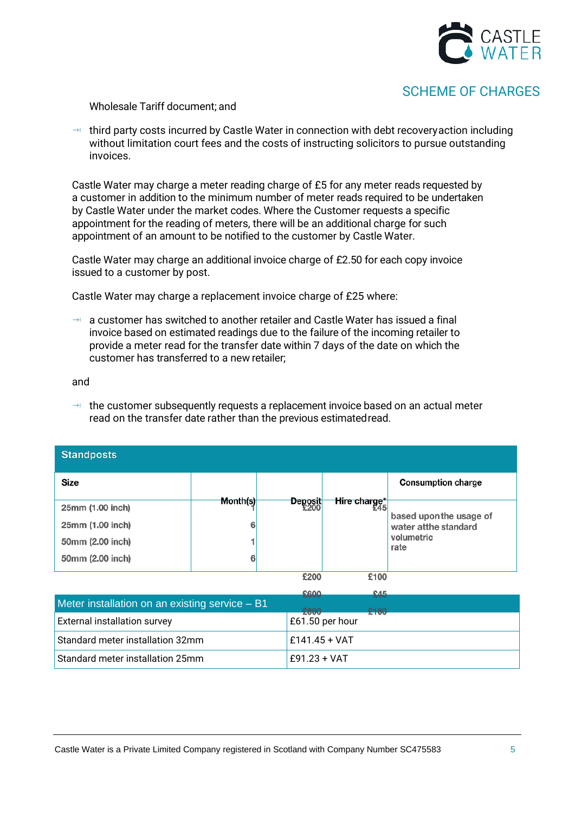

#### Wholesale Tariff document; and

 $\rightarrow$  third party costs incurred by Castle Water in connection with debt recovery action including without limitation court fees and the costs of instructing solicitors to pursue outstanding invoices.

Castle Water may charge a meter reading charge of £5 for any meter reads requested by a customer in addition to the minimum number of meter reads required to be undertaken by Castle Water under the market codes. Where the Customer requests a specific appointment for the reading of meters, there will be an additional charge for such appointment of an amount to be notified to the customer by Castle Water.

Castle Water may charge an additional invoice charge of £2.50 for each copy invoice issued to a customer by post.

Castle Water may charge a replacement invoice charge of £25 where:

 $\rightarrow$  a customer has switched to another retailer and Castle Water has issued a final invoice based on estimated readings due to the failure of the incoming retailer to provide a meter read for the transfer date within 7 days of the date on which the customer has transferred to a new retailer;

and

 $\rightarrow$  the customer subsequently requests a replacement invoice based on an actual meter read on the transfer date rather than the previous estimatedread.

| <b>Standposts</b> |          |         |              |                           |
|-------------------|----------|---------|--------------|---------------------------|
| Size              |          |         |              | <b>Consumption charge</b> |
|                   | Month(s) | Deposit | Hire charge* |                           |
| 25mm (1.00 inch)  |          |         |              | based upon the usage of   |
| 25mm (1.00 inch)  | 6        |         |              | water at the standard     |
| 50mm (2.00 inch)  |          |         |              | volumetric                |
| 50mm (2.00 inch)  | 6        |         |              | rate                      |
|                   |          |         |              |                           |
|                   |          | £200    | £100         |                           |
|                   |          |         |              |                           |

|                                                | حسس             | $\mathbf{A}$ |
|------------------------------------------------|-----------------|--------------|
| Meter installation on an existing service - B1 |                 | £160         |
| <b>External installation survey</b>            | £61.50 per hour |              |
| Standard meter installation 32mm               | $£141.45 + VAT$ |              |
| Standard meter installation 25mm               | $E91.23 + VAT$  |              |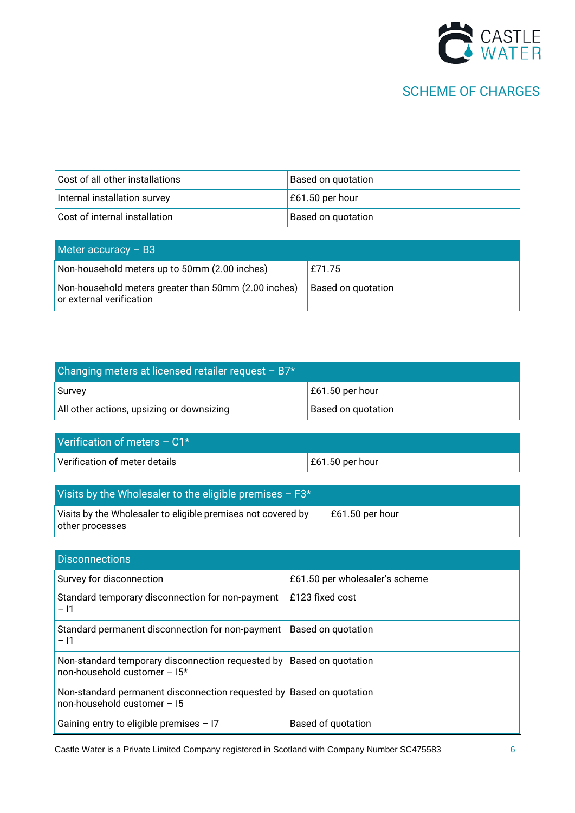

| Cost of all other installations | <b>Based on quotation</b> |
|---------------------------------|---------------------------|
| Internal installation survey    | $\vert$ £61.50 per hour   |
| Cost of internal installation   | <b>Based on quotation</b> |

| Meter accuracy $-$ B <sub>3</sub>                                                |                           |
|----------------------------------------------------------------------------------|---------------------------|
| Non-household meters up to 50mm (2.00 inches)                                    | E71.75                    |
| Non-household meters greater than 50mm (2.00 inches)<br>or external verification | <b>Based on quotation</b> |

| Changing meters at licensed retailer request - B7* |                    |  |
|----------------------------------------------------|--------------------|--|
| Survey                                             | $E61.50$ per hour  |  |
| All other actions, upsizing or downsizing          | Based on quotation |  |

| Verification of meters $- C1*$ |                         |
|--------------------------------|-------------------------|
| Verification of meter details  | $\vert$ £61.50 per hour |

| Visits by the Wholesaler to the eligible premises $- F3*$                       |                         |
|---------------------------------------------------------------------------------|-------------------------|
| Visits by the Wholesaler to eligible premises not covered by<br>other processes | $\vert$ £61.50 per hour |

| <b>Disconnections</b>                                                                                 |                                |
|-------------------------------------------------------------------------------------------------------|--------------------------------|
| Survey for disconnection                                                                              | £61.50 per wholesaler's scheme |
| Standard temporary disconnection for non-payment<br>$-11$                                             | £123 fixed cost                |
| Standard permanent disconnection for non-payment<br>- 11                                              | Based on quotation             |
| Non-standard temporary disconnection requested by<br>$non-household customer - 15*$                   | Based on quotation             |
| Non-standard permanent disconnection requested by Based on quotation<br>$non-household customer - 15$ |                                |
| Gaining entry to eligible premises $-17$                                                              | Based of quotation             |

Castle Water is a Private Limited Company registered in Scotland with Company Number SC475583 66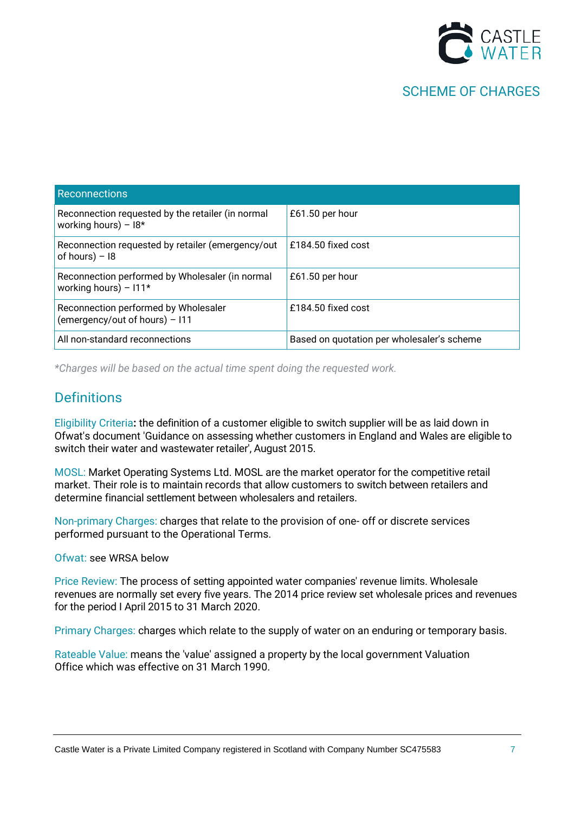

| <b>Reconnections</b>                                                       |                                            |
|----------------------------------------------------------------------------|--------------------------------------------|
| Reconnection requested by the retailer (in normal<br>working hours) $-18*$ | £61.50 per hour                            |
| Reconnection requested by retailer (emergency/out<br>of hours) $-18$       | £184.50 fixed cost                         |
| Reconnection performed by Wholesaler (in normal<br>working hours) $-111*$  | £61.50 per hour                            |
| Reconnection performed by Wholesaler<br>(emergency/out of hours) - I11     | £184.50 fixed cost                         |
| All non-standard reconnections                                             | Based on quotation per wholesaler's scheme |

*\*Charges will be based on the actual time spent doing the requested work.*

### **Definitions**

Eligibility Criteria**:** the definition of a customer eligible to switch supplier will be as laid down in Ofwat's document 'Guidance on assessing whether customers in England and Wales are eligible to switch their water and wastewater retailer', August 2015.

MOSL: Market Operating Systems Ltd. MOSL are the market operator for the competitive retail market. Their role is to maintain records that allow customers to switch between retailers and determine financial settlement between wholesalers and retailers.

Non-primary Charges: charges that relate to the provision of one- off or discrete services performed pursuant to the Operational Terms.

Ofwat: see WRSA below

Price Review: The process of setting appointed water companies' revenue limits. Wholesale revenues are normally set every five years. The 2014 price review set wholesale prices and revenues for the period I April 2015 to 31 March 2020.

Primary Charges: charges which relate to the supply of water on an enduring or temporary basis.

Rateable Value: means the 'value' assigned a property by the local government Valuation Office which was effective on 31 March 1990.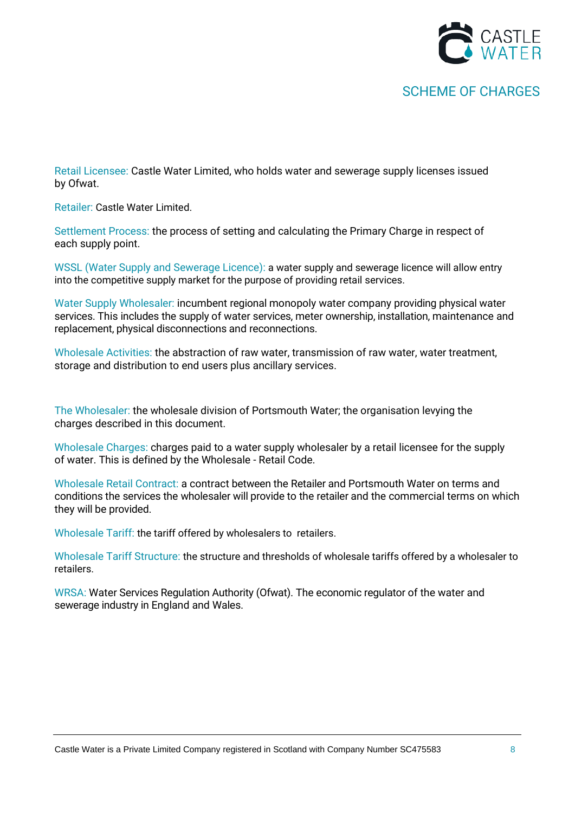

Retail Licensee: Castle Water Limited, who holds water and sewerage supply licenses issued by Ofwat.

Retailer: Castle Water Limited.

Settlement Process: the process of setting and calculating the Primary Charge in respect of each supply point.

WSSL (Water Supply and Sewerage Licence): a water supply and sewerage licence will allow entry into the competitive supply market for the purpose of providing retail services.

Water Supply Wholesaler: incumbent regional monopoly water company providing physical water services. This includes the supply of water services, meter ownership, installation, maintenance and replacement, physical disconnections and reconnections.

Wholesale Activities: the abstraction of raw water, transmission of raw water, water treatment, storage and distribution to end users plus ancillary services.

The Wholesaler: the wholesale division of Portsmouth Water; the organisation levying the charges described in this document.

Wholesale Charges: charges paid to a water supply wholesaler by a retail licensee for the supply of water. This is defined by the Wholesale - Retail Code.

Wholesale Retail Contract: a contract between the Retailer and Portsmouth Water on terms and conditions the services the wholesaler will provide to the retailer and the commercial terms on which they will be provided.

Wholesale Tariff: the tariff offered by wholesalers to retailers.

Wholesale Tariff Structure: the structure and thresholds of wholesale tariffs offered by a wholesaler to retailers.

WRSA: Water Services Regulation Authority (Ofwat). The economic regulator of the water and sewerage industry in England and Wales.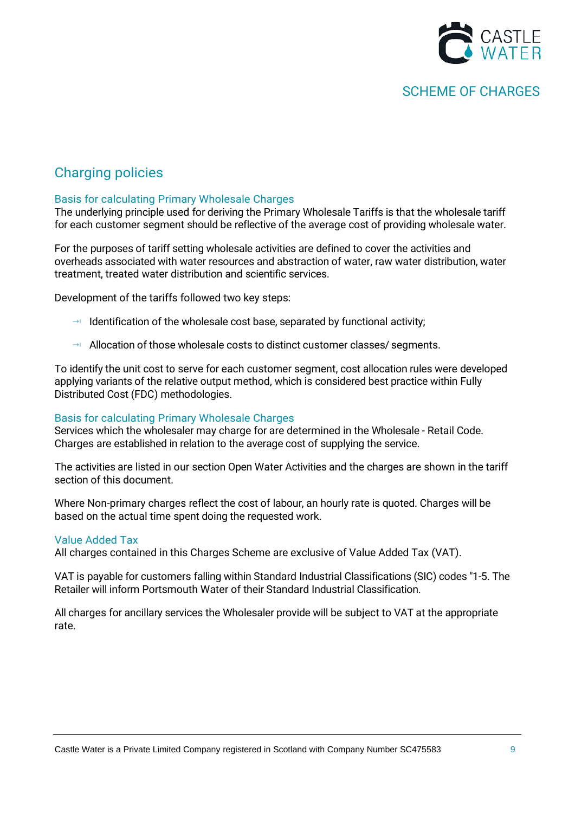

## Charging policies

### Basis for calculating Primary Wholesale Charges

The underlying principle used for deriving the Primary Wholesale Tariffs is that the wholesale tariff for each customer segment should be reflective of the average cost of providing wholesale water.

For the purposes of tariff setting wholesale activities are defined to cover the activities and overheads associated with water resources and abstraction of water, raw water distribution, water treatment, treated water distribution and scientific services.

Development of the tariffs followed two key steps:

- $\rightarrow$  Identification of the wholesale cost base, separated by functional activity;
- $\rightarrow$  Allocation of those wholesale costs to distinct customer classes/ segments.

To identify the unit cost to serve for each customer segment, cost allocation rules were developed applying variants of the relative output method, which is considered best practice within Fully Distributed Cost (FDC) methodologies.

#### Basis for calculating Primary Wholesale Charges

Services which the wholesaler may charge for are determined in the Wholesale - Retail Code. Charges are established in relation to the average cost of supplying the service.

The activities are listed in our section Open Water Activities and the charges are shown in the tariff section of this document.

Where Non-primary charges reflect the cost of labour, an hourly rate is quoted. Charges will be based on the actual time spent doing the requested work.

#### Value Added Tax

All charges contained in this Charges Scheme are exclusive of Value Added Tax (VAT).

VAT is payable for customers falling within Standard Industrial Classifications (SIC) codes "1-5. The Retailer will inform Portsmouth Water of their Standard Industrial Classification.

All charges for ancillary services the Wholesaler provide will be subject to VAT at the appropriate rate.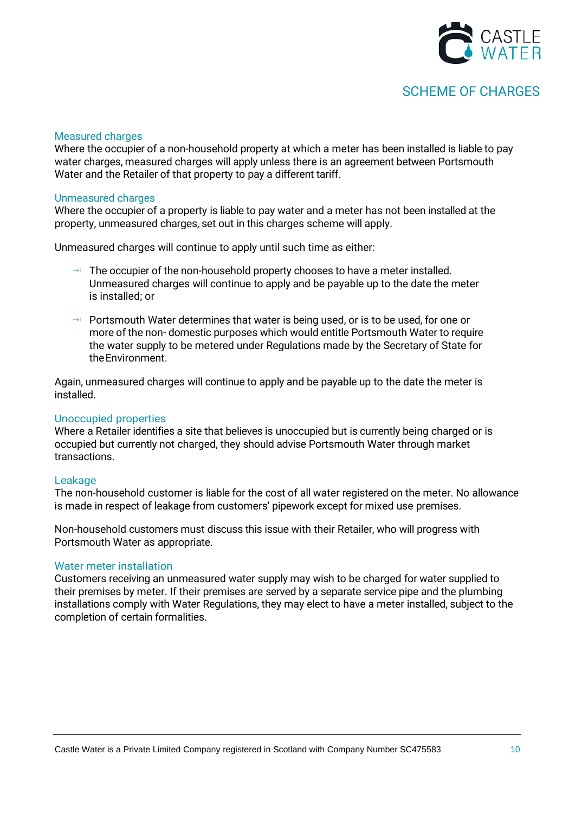

#### Measured charges

Where the occupier of a non-household property at which a meter has been installed is liable to pay water charges, measured charges will apply unless there is an agreement between Portsmouth Water and the Retailer of that property to pay a different tariff.

#### Unmeasured charges

Where the occupier of a property is liable to pay water and a meter has not been installed at the property, unmeasured charges, set out in this charges scheme will apply.

Unmeasured charges will continue to apply until such time as either:

- $\rightarrow$  The occupier of the non-household property chooses to have a meter installed. Unmeasured charges will continue to apply and be payable up to the date the meter is installed; or
- $\rightarrow$  Portsmouth Water determines that water is being used, or is to be used, for one or more of the non- domestic purposes which would entitle Portsmouth Water to require the water supply to be metered under Regulations made by the Secretary of State for theEnvironment.

Again, unmeasured charges will continue to apply and be payable up to the date the meter is installed.

#### Unoccupied properties

Where a Retailer identifies a site that believes is unoccupied but is currently being charged or is occupied but currently not charged, they should advise Portsmouth Water through market transactions.

#### Leakage

The non-household customer is liable for the cost of all water registered on the meter. No allowance is made in respect of leakage from customers' pipework except for mixed use premises.

Non-household customers must discuss this issue with their Retailer, who will progress with Portsmouth Water as appropriate.

#### Water meter installation

Customers receiving an unmeasured water supply may wish to be charged for water supplied to their premises by meter. If their premises are served by a separate service pipe and the plumbing installations comply with Water Regulations, they may elect to have a meter installed, subject to the completion of certain formalities.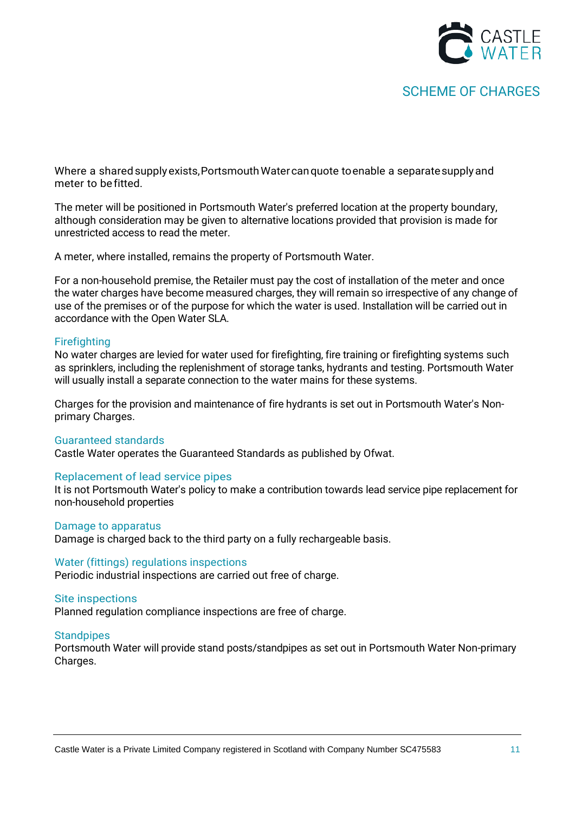

Where a shared supply exists, Portsmouth Water can quote to enable a separate supply and meter to befitted.

The meter will be positioned in Portsmouth Water's preferred location at the property boundary, although consideration may be given to alternative locations provided that provision is made for unrestricted access to read the meter.

A meter, where installed, remains the property of Portsmouth Water.

For a non-household premise, the Retailer must pay the cost of installation of the meter and once the water charges have become measured charges, they will remain so irrespective of any change of use of the premises or of the purpose for which the water is used. Installation will be carried out in accordance with the Open Water SLA.

#### **Firefighting**

No water charges are levied for water used for firefighting, fire training or firefighting systems such as sprinklers, including the replenishment of storage tanks, hydrants and testing. Portsmouth Water will usually install a separate connection to the water mains for these systems.

Charges for the provision and maintenance of fire hydrants is set out in Portsmouth Water's Nonprimary Charges.

#### Guaranteed standards

Castle Water operates the Guaranteed Standards as published by Ofwat.

#### Replacement of lead service pipes

It is not Portsmouth Water's policy to make a contribution towards lead service pipe replacement for non-household properties

#### Damage to apparatus

Damage is charged back to the third party on a fully rechargeable basis.

#### Water (fittings) regulations inspections

Periodic industrial inspections are carried out free of charge.

#### Site inspections

Planned regulation compliance inspections are free of charge.

#### **Standpipes**

Portsmouth Water will provide stand posts/standpipes as set out in Portsmouth Water Non-primary Charges.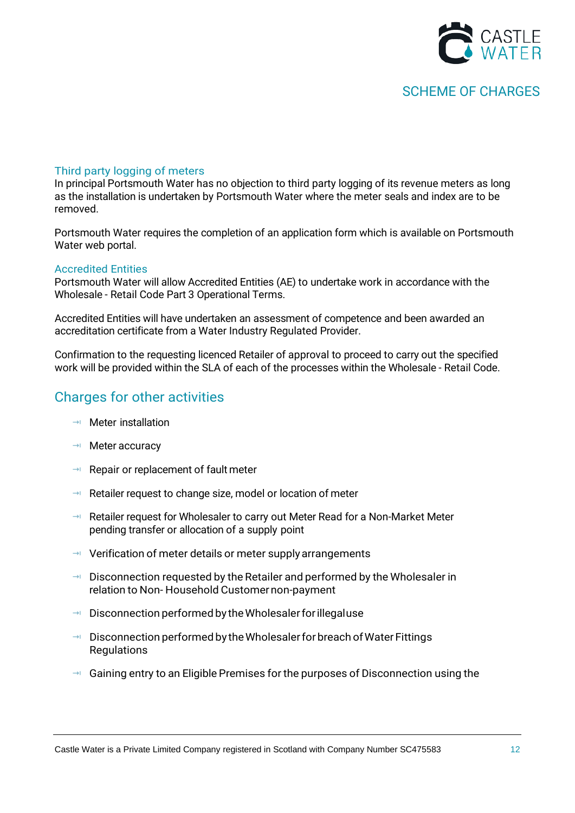

#### Third party logging of meters

In principal Portsmouth Water has no objection to third party logging of its revenue meters as long as the installation is undertaken by Portsmouth Water where the meter seals and index are to be removed.

Portsmouth Water requires the completion of an application form which is available on Portsmouth Water web portal.

#### Accredited Entities

Portsmouth Water will allow Accredited Entities (AE) to undertake work in accordance with the Wholesale - Retail Code Part 3 Operational Terms.

Accredited Entities will have undertaken an assessment of competence and been awarded an accreditation certificate from a Water Industry Regulated Provider.

Confirmation to the requesting licenced Retailer of approval to proceed to carry out the specified work will be provided within the SLA of each of the processes within the Wholesale - Retail Code.

### Charges for other activities

- $\rightarrow$  Meter installation
- $\rightarrow$  Meter accuracy
- $\rightarrow$  Repair or replacement of fault meter
- $\rightarrow$  Retailer request to change size, model or location of meter
- → Retailer request for Wholesaler to carry out Meter Read for a Non-Market Meter pending transfer or allocation of a supply point
- $\rightarrow$  Verification of meter details or meter supply arrangements
- $\rightarrow$  Disconnection requested by the Retailer and performed by the Wholesaler in relation to Non- Household Customernon-payment
- $\rightarrow$  Disconnection performed by the Wholesaler for illegaluse
- $\rightarrow$  Disconnection performed by the Wholesaler for breach of Water Fittings Regulations
- $\rightarrow$  Gaining entry to an Eligible Premises for the purposes of Disconnection using the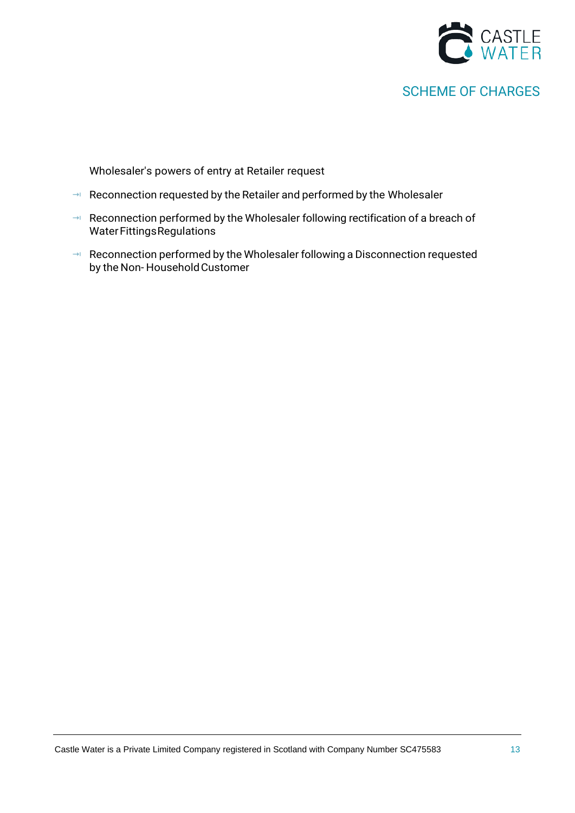

Wholesaler's powers of entry at Retailer request

- $\rightarrow$  Reconnection requested by the Retailer and performed by the Wholesaler
- → Reconnection performed by the Wholesaler following rectification of a breach of Water Fittings Regulations
- Reconnection performed by the Wholesaler following a Disconnection requested by the Non-Household Customer